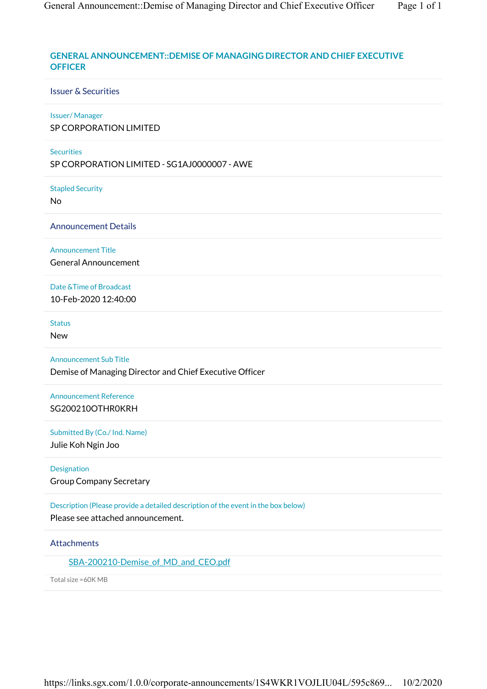# **GENERAL ANNOUNCEMENT::DEMISE OF MANAGING DIRECTOR AND CHIEF EXECUTIVE OFFICER**

## Issuer & Securities

### Issuer/ Manager

SP CORPORATION LIMITED

## **Securities**

SP CORPORATION LIMITED - SG1AJ0000007 - AWE

#### Stapled Security

No

Announcement Details

Announcement Title General Announcement

Date &Time of Broadcast 10-Feb-2020 12:40:00

Status

New

Announcement Sub Title Demise of Managing Director and Chief Executive Officer

Announcement Reference SG200210OTHR0KRH

Submitted By (Co./ Ind. Name)

Julie Koh Ngin Joo

Designation Group Company Secretary

Description (Please provide a detailed description of the event in the box below) Please see attached announcement.

## **Attachments**

SBA-200210-Demise of MD and CEO.pdf

Total size =60K MB